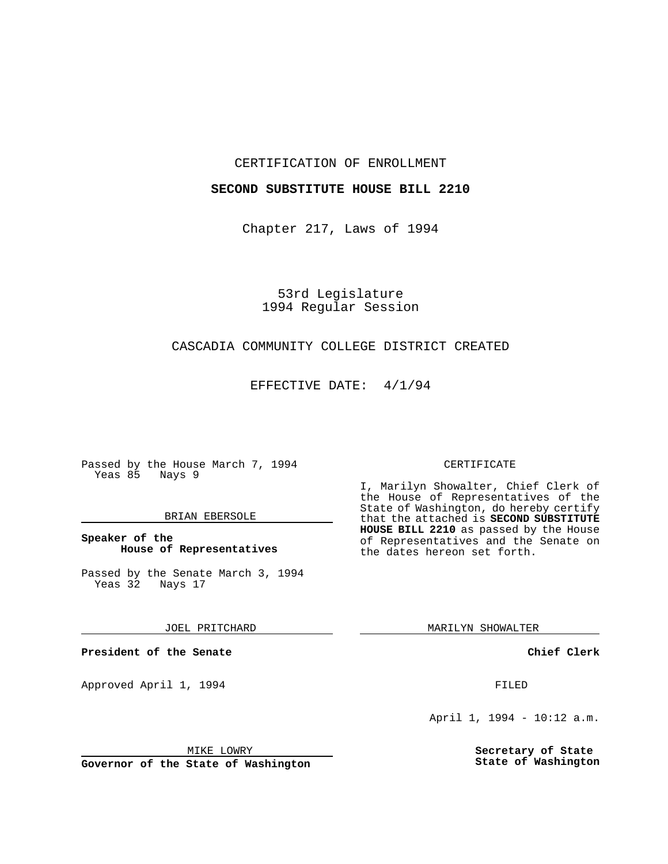### CERTIFICATION OF ENROLLMENT

## **SECOND SUBSTITUTE HOUSE BILL 2210**

Chapter 217, Laws of 1994

53rd Legislature 1994 Regular Session

## CASCADIA COMMUNITY COLLEGE DISTRICT CREATED

EFFECTIVE DATE: 4/1/94

Passed by the House March 7, 1994 Yeas 85 Nays 9

## BRIAN EBERSOLE

## **Speaker of the House of Representatives**

Passed by the Senate March 3, 1994 Yeas 32 Nays 17

JOEL PRITCHARD

**President of the Senate**

Approved April 1, 1994 **FILED** 

#### MIKE LOWRY

**Governor of the State of Washington**

#### CERTIFICATE

I, Marilyn Showalter, Chief Clerk of the House of Representatives of the State of Washington, do hereby certify that the attached is **SECOND SUBSTITUTE HOUSE BILL 2210** as passed by the House of Representatives and the Senate on the dates hereon set forth.

MARILYN SHOWALTER

**Chief Clerk**

April 1, 1994 - 10:12 a.m.

**Secretary of State State of Washington**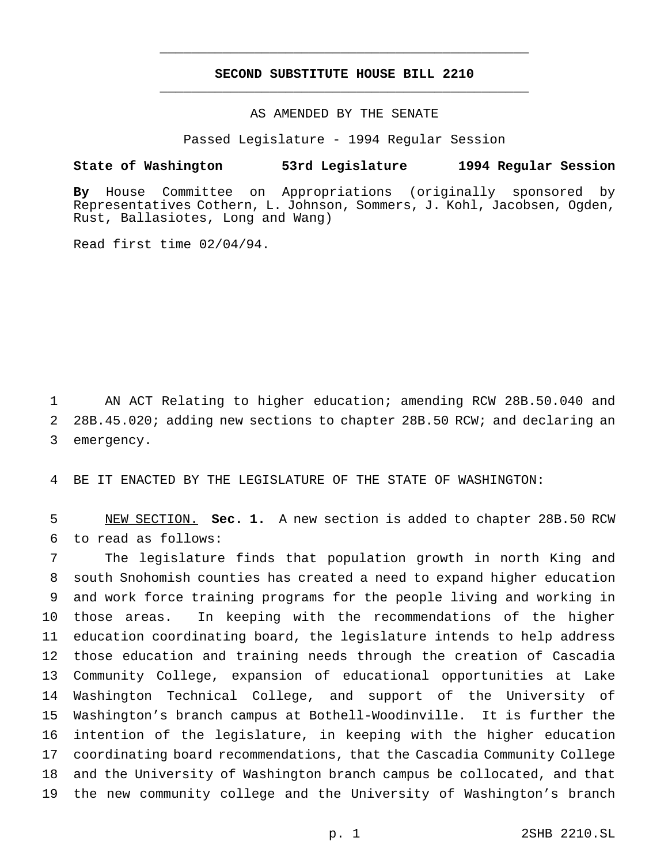# **SECOND SUBSTITUTE HOUSE BILL 2210** \_\_\_\_\_\_\_\_\_\_\_\_\_\_\_\_\_\_\_\_\_\_\_\_\_\_\_\_\_\_\_\_\_\_\_\_\_\_\_\_\_\_\_\_\_\_\_

\_\_\_\_\_\_\_\_\_\_\_\_\_\_\_\_\_\_\_\_\_\_\_\_\_\_\_\_\_\_\_\_\_\_\_\_\_\_\_\_\_\_\_\_\_\_\_

## AS AMENDED BY THE SENATE

Passed Legislature - 1994 Regular Session

#### **State of Washington 53rd Legislature 1994 Regular Session**

**By** House Committee on Appropriations (originally sponsored by Representatives Cothern, L. Johnson, Sommers, J. Kohl, Jacobsen, Ogden, Rust, Ballasiotes, Long and Wang)

Read first time 02/04/94.

1 AN ACT Relating to higher education; amending RCW 28B.50.040 and 2 28B.45.020; adding new sections to chapter 28B.50 RCW; and declaring an 3 emergency.

4 BE IT ENACTED BY THE LEGISLATURE OF THE STATE OF WASHINGTON:

5 NEW SECTION. **Sec. 1.** A new section is added to chapter 28B.50 RCW 6 to read as follows:

 The legislature finds that population growth in north King and south Snohomish counties has created a need to expand higher education and work force training programs for the people living and working in those areas. In keeping with the recommendations of the higher education coordinating board, the legislature intends to help address those education and training needs through the creation of Cascadia Community College, expansion of educational opportunities at Lake Washington Technical College, and support of the University of Washington's branch campus at Bothell-Woodinville. It is further the intention of the legislature, in keeping with the higher education coordinating board recommendations, that the Cascadia Community College and the University of Washington branch campus be collocated, and that the new community college and the University of Washington's branch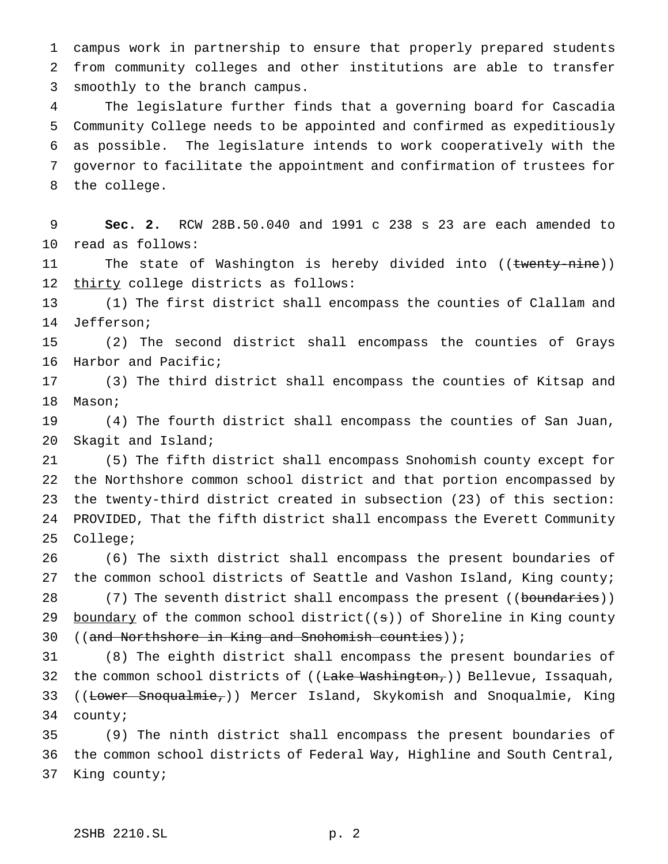campus work in partnership to ensure that properly prepared students from community colleges and other institutions are able to transfer smoothly to the branch campus.

 The legislature further finds that a governing board for Cascadia Community College needs to be appointed and confirmed as expeditiously as possible. The legislature intends to work cooperatively with the governor to facilitate the appointment and confirmation of trustees for the college.

 **Sec. 2.** RCW 28B.50.040 and 1991 c 238 s 23 are each amended to read as follows:

11 The state of Washington is hereby divided into ((twenty-nine)) thirty college districts as follows:

 (1) The first district shall encompass the counties of Clallam and Jefferson;

 (2) The second district shall encompass the counties of Grays Harbor and Pacific;

 (3) The third district shall encompass the counties of Kitsap and Mason;

 (4) The fourth district shall encompass the counties of San Juan, Skagit and Island;

 (5) The fifth district shall encompass Snohomish county except for the Northshore common school district and that portion encompassed by the twenty-third district created in subsection (23) of this section: PROVIDED, That the fifth district shall encompass the Everett Community College;

 (6) The sixth district shall encompass the present boundaries of the common school districts of Seattle and Vashon Island, King county; 28 (7) The seventh district shall encompass the present ((boundaries))

29 boundary of the common school district( $(s)$ ) of Shoreline in King county ((and Northshore in King and Snohomish counties));

 (8) The eighth district shall encompass the present boundaries of 32 the common school districts of ((Lake Washington,)) Bellevue, Issaquah, 33 ((Lower Snoqualmie,)) Mercer Island, Skykomish and Snoqualmie, King county;

 (9) The ninth district shall encompass the present boundaries of the common school districts of Federal Way, Highline and South Central, King county;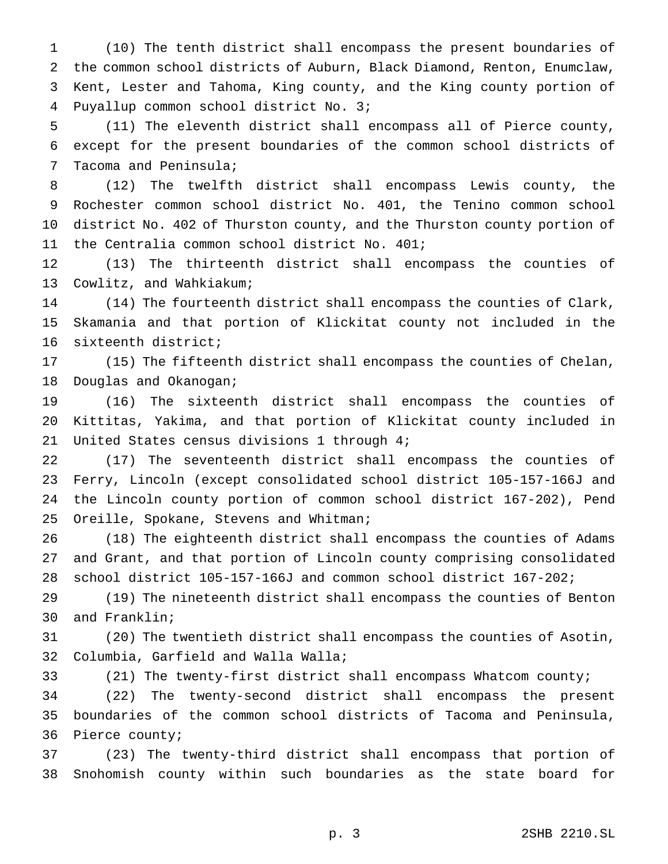(10) The tenth district shall encompass the present boundaries of the common school districts of Auburn, Black Diamond, Renton, Enumclaw, Kent, Lester and Tahoma, King county, and the King county portion of Puyallup common school district No. 3;

 (11) The eleventh district shall encompass all of Pierce county, except for the present boundaries of the common school districts of Tacoma and Peninsula;

 (12) The twelfth district shall encompass Lewis county, the Rochester common school district No. 401, the Tenino common school district No. 402 of Thurston county, and the Thurston county portion of the Centralia common school district No. 401;

 (13) The thirteenth district shall encompass the counties of Cowlitz, and Wahkiakum;

 (14) The fourteenth district shall encompass the counties of Clark, Skamania and that portion of Klickitat county not included in the sixteenth district;

 (15) The fifteenth district shall encompass the counties of Chelan, Douglas and Okanogan;

 (16) The sixteenth district shall encompass the counties of Kittitas, Yakima, and that portion of Klickitat county included in United States census divisions 1 through 4;

 (17) The seventeenth district shall encompass the counties of Ferry, Lincoln (except consolidated school district 105-157-166J and the Lincoln county portion of common school district 167-202), Pend 25 Oreille, Spokane, Stevens and Whitman;

 (18) The eighteenth district shall encompass the counties of Adams and Grant, and that portion of Lincoln county comprising consolidated school district 105-157-166J and common school district 167-202;

 (19) The nineteenth district shall encompass the counties of Benton and Franklin;

 (20) The twentieth district shall encompass the counties of Asotin, Columbia, Garfield and Walla Walla;

(21) The twenty-first district shall encompass Whatcom county;

 (22) The twenty-second district shall encompass the present boundaries of the common school districts of Tacoma and Peninsula, Pierce county;

 (23) The twenty-third district shall encompass that portion of Snohomish county within such boundaries as the state board for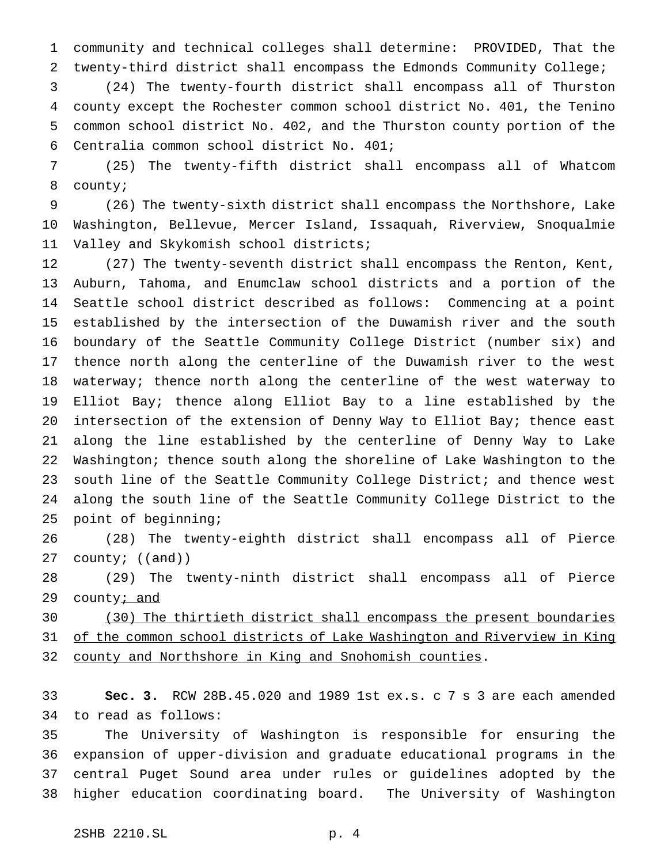community and technical colleges shall determine: PROVIDED, That the twenty-third district shall encompass the Edmonds Community College;

 (24) The twenty-fourth district shall encompass all of Thurston county except the Rochester common school district No. 401, the Tenino common school district No. 402, and the Thurston county portion of the Centralia common school district No. 401;

 (25) The twenty-fifth district shall encompass all of Whatcom county;

 (26) The twenty-sixth district shall encompass the Northshore, Lake Washington, Bellevue, Mercer Island, Issaquah, Riverview, Snoqualmie Valley and Skykomish school districts;

 (27) The twenty-seventh district shall encompass the Renton, Kent, Auburn, Tahoma, and Enumclaw school districts and a portion of the Seattle school district described as follows: Commencing at a point established by the intersection of the Duwamish river and the south boundary of the Seattle Community College District (number six) and thence north along the centerline of the Duwamish river to the west waterway; thence north along the centerline of the west waterway to Elliot Bay; thence along Elliot Bay to a line established by the intersection of the extension of Denny Way to Elliot Bay; thence east along the line established by the centerline of Denny Way to Lake Washington; thence south along the shoreline of Lake Washington to the south line of the Seattle Community College District; and thence west along the south line of the Seattle Community College District to the point of beginning;

 (28) The twenty-eighth district shall encompass all of Pierce 27 county;  $((and))$ 

 (29) The twenty-ninth district shall encompass all of Pierce 29 county<sub>i</sub> and

 (30) The thirtieth district shall encompass the present boundaries 31 of the common school districts of Lake Washington and Riverview in King county and Northshore in King and Snohomish counties.

 **Sec. 3.** RCW 28B.45.020 and 1989 1st ex.s. c 7 s 3 are each amended to read as follows:

 The University of Washington is responsible for ensuring the expansion of upper-division and graduate educational programs in the central Puget Sound area under rules or guidelines adopted by the higher education coordinating board. The University of Washington